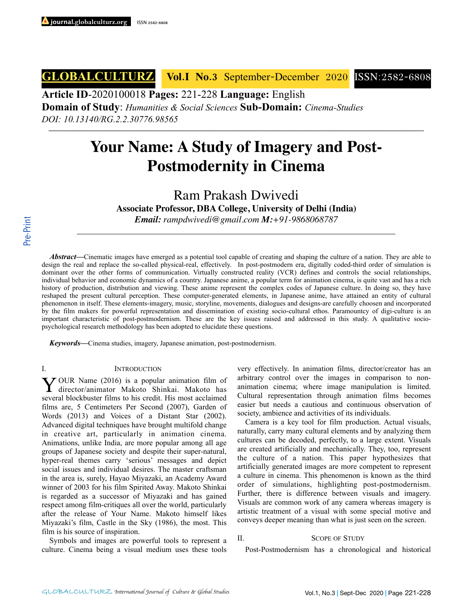**GLOBALCULTURZ Vol.I No.3** September-December 2020 ISSN:2582-6808

**Article ID**-2020100018 **Pages:** 221-228 **Language:** English

**Domain of Study**: *Humanities & Social Sciences* **Sub-Domain:** *Cinema-Studies*

*DOI: 10.13140/RG.2.2.30776.98565* \_\_\_\_\_\_\_\_\_\_\_\_\_\_\_\_\_\_\_\_\_\_\_\_\_\_\_\_\_\_\_\_\_\_\_\_\_\_\_\_\_\_\_\_\_\_\_\_\_\_\_\_\_\_\_\_\_\_\_\_\_\_\_\_\_\_\_\_\_\_\_\_\_\_\_\_\_\_\_\_\_\_\_\_\_\_\_\_\_\_\_\_\_\_\_\_\_\_\_\_\_

# **Your Name: A Study of Imagery and Post-Postmodernity in Cinema**

Ram Prakash Dwivedi

**Associate Professor, DBA College, University of Delhi (India)**

*Email: rampdwivedi@gmail.com M:+91-9868068787*

\_\_\_\_\_\_\_\_\_\_\_\_\_\_\_\_\_\_\_\_\_\_\_\_\_\_\_\_\_\_\_\_\_\_\_\_\_\_\_\_\_\_\_\_\_\_\_\_\_\_\_\_\_\_\_\_\_\_\_\_\_\_\_\_\_\_\_\_\_\_\_\_\_\_\_\_\_\_\_\_\_\_\_\_\_\_\_\_\_\_\_\_\_\_\_\_\_\_\_\_

*Abstract***—**Cinematic images have emerged as a potential tool capable of creating and shaping the culture of a nation. They are able to design the real and replace the so-called physical-real, effectively. In post-postmodern era, digitally coded-third order of simulation is dominant over the other forms of communication. Virtually constructed reality (VCR) defines and controls the social relationships, individual behavior and economic dynamics of a country. Japanese anime, a popular term for animation cinema, is quite vast and has a rich history of production, distribution and viewing. These anime represent the complex codes of Japanese culture. In doing so, they have reshaped the present cultural perception. These computer-generated elements, in Japanese anime, have attained an entity of cultural phenomenon in itself. These elements-imagery, music, storyline, movements, dialogues and designs-are carefully choosen and incorporated by the film makers for powerful representation and dissemination of existing socio-cultural ethos. Paramountcy of digi-culture is an important characteristic of post-postmodernism. These are the key issues raised and addressed in this study. A qualitative sociopsychological research methodology has been adopted to elucidate these questions.

*Keywords***—**Cinema studies, imagery, Japanese animation, post-postmodernism.

#### I. INTRODUCTION

YOUR Name (2016) is a popular animation film of director/animator Makoto Shinkai. Makoto has several blockbuster films to his credit. His most acclaimed films are, 5 Centimeters Per Second (2007), Garden of Words (2013) and Voices of a Distant Star (2002). Advanced digital techniques have brought multifold change in creative art, particularly in animation cinema. Animations, unlike India, are more popular among all age groups of Japanese society and despite their super-natural, hyper-real themes carry 'serious' messages and depict social issues and individual desires. The master craftsman in the area is, surely, Hayao Miyazaki, an Academy Award winner of 2003 for his film Spirited Away. Makoto Shinkai is regarded as a successor of Miyazaki and has gained respect among film-critiques all over the world, particularly after the release of Your Name. Makoto himself likes Miyazaki's film, Castle in the Sky (1986), the most. This film is his source of inspiration.

 Symbols and images are powerful tools to represent a culture. Cinema being a visual medium uses these tools

very effectively. In animation films, director/creator has an arbitrary control over the images in comparison to nonanimation cinema; where image manipulation is limited. Cultural representation through animation films becomes easier but needs a cautious and continuous observation of society, ambience and activities of its individuals.

Camera is a key tool for film production. Actual visuals, naturally, carry many cultural elements and by analyzing them cultures can be decoded, perfectly, to a large extent. Visuals are created artificially and mechanically. They, too, represent the culture of a nation. This paper hypothesizes that artificially generated images are more competent to represent a culture in cinema. This phenomenon is known as the third order of simulations, highlighting post-postmodernism. Further, there is difference between visuals and imagery. Visuals are common work of any camera whereas imagery is artistic treatment of a visual with some special motive and conveys deeper meaning than what is just seen on the screen.

### II. SCOPE OF STUDY

Post-Postmodernism has a chronological and historical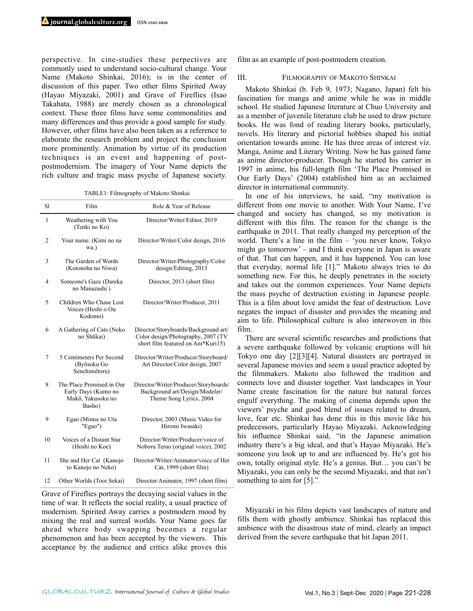perspective. In cine-studies these perpectives are commonly used to understand socio-cultural change. Your Name (Makoto Shinkai, 2016); is in the center of discussion of this paper. Two other films Spirited Away (Hayao Miyazaki, 2001) and Grave of Fireflies (Isao Takahata, 1988) are merely chosen as a chronological context. These three films have some commonalities and many differences and thus provide a good sample for study. However, other films have also been taken as a reference to elaborate the research problem and project the conclusion more prominently. Animation by virtue of its production techniques is an event and happening of postpostmodernism. The imagery of Your Name depicts the rich culture and tragic mass psyche of Japanese society.

TABLE1: Filmography of Makoto Shinkai

| S1             | Film                                                                            | Role & Year of Release                                                                                           |
|----------------|---------------------------------------------------------------------------------|------------------------------------------------------------------------------------------------------------------|
| $\mathbf{1}$   | Weathering with You<br>(Tenki no Ko)                                            | Director/Writer/Editor, 2019                                                                                     |
| $\overline{c}$ | Your name. (Kimi no na<br>wa.)                                                  | Director/Writer/Color design, 2016                                                                               |
| 3              | The Garden of Words<br>(Kotonoha no Niwa)                                       | Director/Writer/Photography/Color<br>design/Editing, 2013                                                        |
| 4              | Someone's Gaze (Dareka<br>no Manazashi)                                         | Director, 2013 (short film)                                                                                      |
| 5              | Children Who Chase Lost<br>Voices (Hoshi o Ou<br>Kodomo)                        | Director/Writer/Producer, 2011                                                                                   |
| 6              | A Gathering of Cats (Neko<br>no Shūkai)                                         | Director/Storyboards/Background art/<br>Color design/Photography, 2007 (TV<br>short film featured on Ani*Kuri15) |
| $\overline{7}$ | 5 Centimeters Per Second<br>(Byōsoku Go<br>Senchimētoru)                        | Director/Writer/Producer/Storyboard/<br>Art Director/Color design, 2007                                          |
| 8              | The Place Promised in Our<br>Early Days (Kumo no<br>Mukō, Yakusoku no<br>Basho) | Director/Writer/Producer/Storyboards/<br>Background art/Design/Modeler/<br>Theme Song Lyrics, 2004               |
| 9              | Egao (Minna no Uta<br>"Egao")                                                   | Director, 2003 (Music Video for<br>Hiromi Iwasaki)                                                               |
| 10             | Voices of a Distant Star<br>(Hoshi no Koe)                                      | Director/Writer/Producer/voice of<br>Noboru Terao (original voice), 2002                                         |
| 11             | She and Her Cat (Kanojo<br>to Kanojo no Neko)                                   | Director/Writer/Animator/voice of Her<br>Cat, 1999 (short film)                                                  |
| 12             | Other Worlds (Tooi Sekai)                                                       | Director/Animator, 1997 (short film)                                                                             |

Grave of Fireflies portrays the decaying social values in the time of war. It reflects the social reality, a usual practice of modernism. Spirited Away carries a postmodern mood by mixing the real and surreal worlds. Your Name goes far ahead where body swapping becomes a regular phenomenon and has been accepted by the viewers. This acceptance by the audience and critics alike proves this film as an example of post-postmodern creation.

#### III. FILMOGRAPHY OF MAKOTO SHINKAI

Makoto Shinkai (b. Feb 9, 1973; Nagano, Japan) felt his fascination for manga and anime while he was in middle school. He studied Japanese literature at Chuo University and as a member of juvenile literature club he used to draw picture books. He was fond of reading literary books, particularly, novels. His literary and pictorial hobbies shaped his initial orientation towards anime. He has three areas of interest viz. Manga, Anime and Literary Writing. Now he has gained fame as anime director-producer. Though he started his carrier in 1997 in anime, his full-length film 'The Place Promised in Our Early Days' (2004) established him as an acclaimed director in international community.

In one of his interviews, he said, "my motivation is different from one movie to another. With Your Name, I've changed and society has changed, so my motivation is different with this film. The reason for the change is the earthquake in 2011. That really changed my perception of the world. There's a line in the film – 'you never know, Tokyo might go tomorrow' – and I think everyone in Japan is aware of that. That can happen, and it has happened. You can lose that everyday, normal life [1]." Makoto always tries to do something new. For this, he deeply penetrates in the society and takes out the common experiences. Your Name depicts the mass psyche of destruction existing in Japanese people. This is a film about love amidst the fear of destruction. Love negates the impact of disaster and provides the meaning and aim to life. Philosophical culture is also interwoven in this film.

There are several scientific researches and predictions that a severe earthquake followed by volcanic eruptions will hit Tokyo one day [2][3][4]. Natural disasters are portrayed in several Japanese movies and seem a usual practice adopted by the filmmakers. Makoto also followed the tradition and connects love and disaster together. Vast landscapes in Your Name create fascination for the nature but natural forces engulf everything. The making of cinema depends upon the viewers' psyche and good blend of issues related to dream, love, fear etc. Shinkai has done this in this movie like his predecessors, particularly Hayao Miyazaki. Acknowledging his influence Shinkai said, "in the Japanese animation industry there's a big ideal, and that's Hayao Miyazaki. He's someone you look up to and are influenced by. He's got his own, totally original style. He's a genius. But… you can't be Miyazaki, you can only be the second Miyazaki, and that isn't something to aim for [5]."

Miyazaki in his films depicts vast landscapes of nature and fills them with ghostly ambience. Shinkai has replaced this ambience with the disastrous state of mind, clearly an impact derived from the severe earthquake that hit Japan 2011.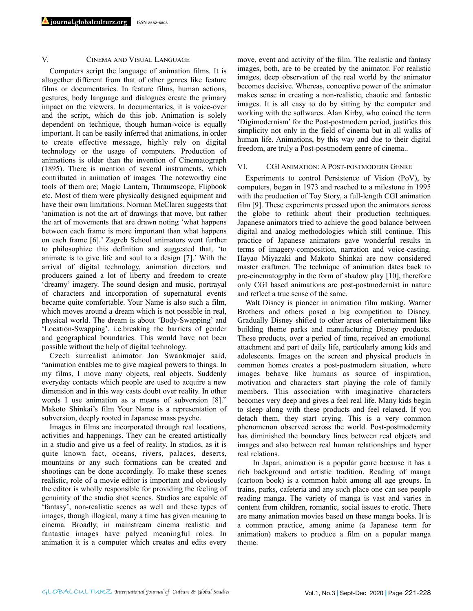## V. CINEMA AND VISUAL LANGUAGE

Computers script the language of animation films. It is altogether different from that of other genres like feature films or documentaries. In feature films, human actions, gestures, body language and dialogues create the primary impact on the viewers. In documentaries, it is voice-over and the script, which do this job. Animation is solely dependent on technique, though human-voice is equally important. It can be easily inferred that animations, in order to create effective message, highly rely on digital technology or the usage of computers. Production of animations is older than the invention of Cinematograph (1895). There is mention of several instruments, which contributed in animation of images. The noteworthy cine tools of them are; Magic Lantern, Thraumscope, Flipbook etc. Most of them were physically designed equipment and have their own limitations. Norman McClaren suggests that 'animation is not the art of drawings that move, but rather the art of movements that are drawn noting 'what happens between each frame is more important than what happens on each frame [6].' Zagreb School animators went further to philosophize this definition and suggested that, 'to animate is to give life and soul to a design [7].' With the arrival of digital technology, animation directors and producers gained a lot of liberty and freedom to create 'dreamy' imagery. The sound design and music, portrayal of characters and incorporation of supernatural events became quite comfortable. Your Name is also such a film, which moves around a dream which is not possible in real, physical world. The dream is about 'Body-Swapping' and 'Location-Swapping', i.e.breaking the barriers of gender and geographical boundaries. This would have not been possible without the help of digital technology.

Czech surrealist animator Jan Swankmajer said, "animation enables me to give magical powers to things. In my films, I move many objects, real objects. Suddenly everyday contacts which people are used to acquire a new dimension and in this way casts doubt over reality. In other words I use animation as a means of subversion [8]." Makoto Shinkai's film Your Name is a representation of subversion, deeply rooted in Japanese mass psyche.

Images in films are incorporated through real locations, activities and happenings. They can be created artistically in a studio and give us a feel of reality. In studios, as it is quite known fact, oceans, rivers, palaces, deserts, mountains or any such formations can be created and shootings can be done accordingly. To make these scenes realistic, role of a movie editor is important and obviously the editor is wholly responsible for providing the feeling of genuinity of the studio shot scenes. Studios are capable of 'fantasy', non-realistic scenes as well and these types of images, though illogical, many a time has given meaning to cinema. Broadly, in mainstream cinema realistic and fantastic images have palyed meaningful roles. In animation it is a computer which creates and edits every move, event and activity of the film. The realistic and fantasy images, both, are to be created by the animator. For realistic images, deep observation of the real world by the animator becomes decisive. Whereas, conceptive power of the animator makes sense in creating a non-realistic, chaotic and fantastic images. It is all easy to do by sitting by the computer and working with the softwares. Alan Kirby, who coined the term 'Digimodernism' for the Post-postmodern period, justifies this simplicity not only in the field of cinema but in all walks of human life. Animations, by this way and due to their digital freedom, are truly a Post-postmodern genre of cinema..

#### VI. CGI ANIMATION: A POST-POSTMODERN GENRE

Experiments to control Persistence of Vision (PoV), by computers, began in 1973 and reached to a milestone in 1995 with the production of Toy Story, a full-length CGI animation film [9]. These experiments pressed upon the animators across the globe to rethink about their production techniques. Japanese animators tried to achieve the good balance between digital and analog methodologies which still continue. This practice of Japanese animators gave wonderful results in terms of imagery-composition, narration and voice-casting. Hayao Miyazaki and Makoto Shinkai are now considered master craftmen. The technique of animation dates back to pre-cinematogrphy in the form of shadow play [10], therefore only CGI based animations are post-postmodernist in nature and reflect a true sense of the same.

Walt Disney is pioneer in animation film making. Warner Brothers and others posed a big competition to Disney. Gradually Disney shifted to other areas of entertainment like building theme parks and manufacturing Disney products. These products, over a period of time, received an emotional attachment and part of daily life, particularly among kids and adolescents. Images on the screen and physical products in common homes creates a post-postmodern situation, where images behave like humans as source of inspiration, motivation and characters start playing the role of family members. This association with imaginative characters becomes very deep and gives a feel real life. Many kids begin to sleep along with these products and feel relaxed. If you detach them, they start crying. This is a very common phenomenon observed across the world. Post-postmodernity has diminished the boundary lines between real objects and images and also between real human relationships and hyper real relations.

 In Japan, animation is a popular genre because it has a rich background and artistic tradition. Reading of manga (cartoon book) is a common habit among all age groups. In trains, parks, cafeteria and any such place one can see people reading manga. The variety of manga is vast and varies in content from children, romantic, social issues to erotic. There are many animation movies based on these manga books. It is a common practice, among anime (a Japanese term for animation) makers to produce a film on a popular manga theme.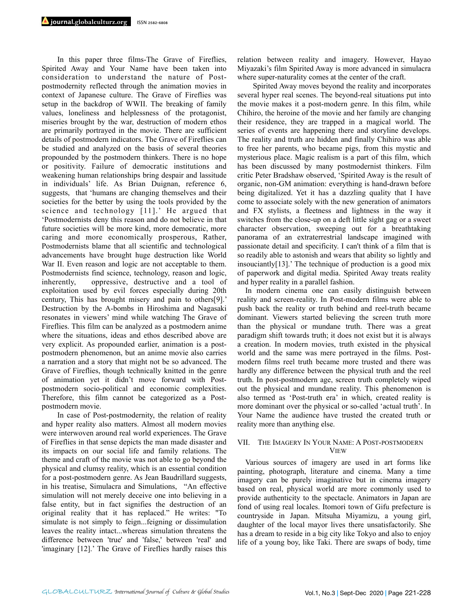In this paper three films-The Grave of Fireflies, Spirited Away and Your Name have been taken into consideration to understand the nature of Postpostmodernity reflected through the animation movies in context of Japanese culture. The Grave of Fireflies was setup in the backdrop of WWII. The breaking of family values, loneliness and helplessness of the protagonist, miseries brought by the war, destruction of modern ethos are primarily portrayed in the movie. There are sufficient details of postmodern indicators. The Grave of Fireflies can be studied and analyzed on the basis of several theories propounded by the postmodern thinkers. There is no hope or positivity. Failure of democratic institutions and weakening human relationships bring despair and lassitude in individuals' life. As Brian Duignan, reference 6, suggests, that 'humans are changing themselves and their societies for the better by using the tools provided by the science and technology [11].' He argued that 'Postmodernists deny this reason and do not believe in that future societies will be more kind, more democratic, more caring and more economically prosperous, Rather, Postmodernists blame that all scientific and technological advancements have brought huge destruction like World War II. Even reason and logic are not acceptable to them. Postmodernists find science, technology, reason and logic, inherently, oppressive, destructive and a tool of exploitation used by evil forces especially during 20th century, This has brought misery and pain to others[9].' Destruction by the A-bombs in Hiroshima and Nagasaki resonates in viewers' mind while watching The Grave of Fireflies. This film can be analyzed as a postmodern anime where the situations, ideas and ethos described above are very explicit. As propounded earlier, animation is a postpostmodern phenomenon, but an anime movie also carries a narration and a story that might not be so advanced. The Grave of Fireflies, though technically knitted in the genre of animation yet it didn't move forward with Postpostmodern socio-political and economic complexities. Therefore, this film cannot be categorized as a Postpostmodern movie.

 In case of Post-postmodernity, the relation of reality and hyper reality also matters. Almost all modern movies were interwoven around real world experiences. The Grave of Fireflies in that sense depicts the man made disaster and its impacts on our social life and family relations. The theme and craft of the movie was not able to go beyond the physical and clumsy reality, which is an essential condition for a post-postmodern genre. As Jean Baudrillard suggests, in his treatise, Simulacra and Simulations, "An effective simulation will not merely deceive one into believing in a false entity, but in fact signifies the destruction of an original reality that it has replaced." He writes: "To simulate is not simply to feign...feigning or dissimulation leaves the reality intact...whereas simulation threatens the difference between 'true' and 'false,' between 'real' and 'imaginary [12].' The Grave of Fireflies hardly raises this relation between reality and imagery. However, Hayao Miyazaki's film Spirited Away is more advanced in simulacra where super-naturality comes at the center of the craft.

 Spirited Away moves beyond the reality and incorporates several hyper real scenes. The beyond-real situations put into the movie makes it a post-modern genre. In this film, while Chihiro, the heroine of the movie and her family are changing their residence, they are trapped in a magical world. The series of events are happening there and storyline develops. The reality and truth are hidden and finally Chihiro was able to free her parents, who became pigs, from this mystic and mysterious place. Magic realism is a part of this film, which has been discussed by many postmodernist thinkers. Film critic Peter Bradshaw observed, 'Spirited Away is the result of organic, non-GM animation: everything is hand-drawn before being digitalized. Yet it has a dazzling quality that I have come to associate solely with the new generation of animators and FX stylists, a fleetness and lightness in the way it switches from the close-up on a deft little sight gag or a sweet character observation, sweeping out for a breathtaking panorama of an extraterrestrial landscape imagined with passionate detail and specificity. I can't think of a film that is so readily able to astonish and wears that ability so lightly and insouciantly[13].' The technique of production is a good mix of paperwork and digital media. Spirited Away treats reality and hyper reality in a parallel fashion.

In modern cinema one can easily distinguish between reality and screen-reality. In Post-modern films were able to push back the reality or truth behind and reel-truth became dominant. Viewers started believing the screen truth more than the physical or mundane truth. There was a great paradigm shift towards truth; it does not exist but it is always a creation. In modern movies, truth existed in the physical world and the same was mere portrayed in the films. Postmodern films reel truth became more trusted and there was hardly any difference between the physical truth and the reel truth. In post-postmodern age, screen truth completely wiped out the physical and mundane reality. This phenomenon is also termed as 'Post-truth era' in which, created reality is more dominant over the physical or so-called 'actual truth'. In Your Name the audience have trusted the created truth or reality more than anything else.

#### VII. THE IMAGERY IN YOUR NAME: A POST-POSTMODERN VIEW

Various sources of imagery are used in art forms like painting, photograph, literature and cinema. Many a time imagery can be purely imaginative but in cinema imagery based on real, physical world are more commonly used to provide authenticity to the spectacle. Animators in Japan are fond of using real locales. Itomori town of Gifu prefecture is countryside in Japan. Mitsuha Miyamizu, a young girl, daughter of the local mayor lives there unsatisfactorily. She has a dream to reside in a big city like Tokyo and also to enjoy life of a young boy, like Taki. There are swaps of body, time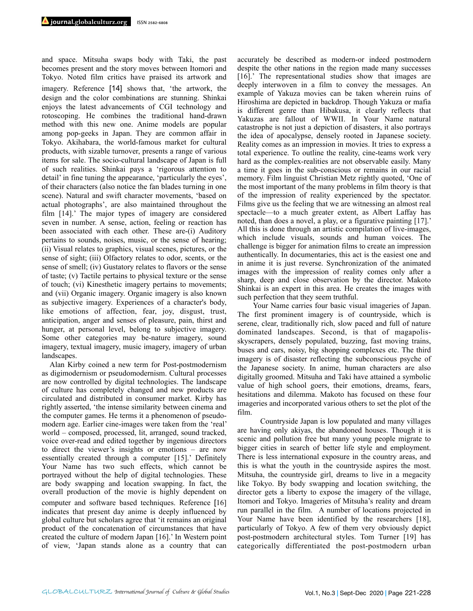and space. Mitsuha swaps body with Taki, the past becomes present and the story moves between Itomori and Tokyo. Noted film critics have praised its artwork and imagery. Reference [14] shows that, 'the artwork, the design and the color combinations are stunning. Shinkai enjoys the latest advancements of CGI technology and rotoscoping. He combines the traditional hand-drawn method with this new one. Anime models are popular among pop-geeks in Japan. They are common affair in Tokyo. Akihabara, the world-famous market for cultural products, with sizable turnover, presents a range of various items for sale. The socio-cultural landscape of Japan is full of such realities. Shinkai pays a 'rigorous attention to detail' in fine tuning the appearance, 'particularly the eyes', of their characters (also notice the fan blades turning in one scene). Natural and swift character movements, 'based on actual photographs', are also maintained throughout the film [14].' The major types of imagery are considered seven in number. A sense, action, feeling or reaction has been associated with each other. These are-(i) Auditory pertains to sounds, noises, music, or the sense of hearing; (ii) Visual relates to graphics, visual scenes, pictures, or the sense of sight; (iii) Olfactory relates to odor, scents, or the sense of smell; (iv) Gustatory relates to flavors or the sense of taste; (v) Tactile pertains to physical texture or the sense of touch; (vi) Kinesthetic imagery pertains to movements; and (vii) Organic imagery. Organic imagery is also known as subjective imagery. Experiences of a character's body, like emotions of affection, fear, joy, disgust, trust, anticipation, anger and senses of pleasure, pain, thirst and hunger, at personal level, belong to subjective imagery. Some other categories may be-nature imagery, sound imagery, textual imagery, music imagery, imagery of urban landscapes.

Alan Kirby coined a new term for Post-postmodernism as digimodernism or pseudomodernism. Cultural processes are now controlled by digital technologies. The landscape of culture has completely changed and new products are circulated and distributed in consumer market. Kirby has rightly asserted, 'the intense similarity between cinema and the computer games. He terms it a phenomenon of pseudomodern age. Earlier cine-images were taken from the 'real' world – composed, processed, lit, arranged, sound tracked, voice over-read and edited together by ingenious directors to direct the viewer's insights or emotions – are now essentially created through a computer [15].' Definitely Your Name has two such effects, which cannot be portrayed without the help of digital technologies. These are body swapping and location swapping. In fact, the overall production of the movie is highly dependent on computer and software based techniques. Reference [16] indicates that present day anime is deeply influenced by global culture but scholars agree that 'it remains an original product of the concatenation of circumstances that have created the culture of modern Japan [16].' In Western point of view, 'Japan stands alone as a country that can accurately be described as modern-or indeed postmodern despite the other nations in the region made many successes [16].' The representational studies show that images are deeply interwoven in a film to convey the messages. An example of Yakuza movies can be taken wherein ruins of Hiroshima are depicted in backdrop. Though Yakuza or mafia is different genre than Hibakusa, it clearly reflects that Yakuzas are fallout of WWII. In Your Name natural catastrophe is not just a depiction of disasters, it also portrays the idea of apocalypse, densely rooted in Japanese society. Reality comes as an impression in movies. It tries to express a total experience. To outline the reality, cine-teams work very hard as the complex-realities are not observable easily. Many a time it goes in the sub-conscious or remains in our racial memory. Film linguist Christian Metz rightly quoted, 'One of the most important of the many problems in film theory is that of the impression of reality experienced by the spectator. Films give us the feeling that we are witnessing an almost real spectacle—to a much greater extent, as Albert Laffay has noted, than does a novel, a play, or a figurative painting [17].' All this is done through an artistic compilation of live-images, which include visuals, sounds and human voices. The challenge is bigger for animation films to create an impression authentically. In documentaries, this act is the easiest one and in anime it is just reverse. Synchronization of the animated images with the impression of reality comes only after a sharp, deep and close observation by the director. Makoto Shinkai is an expert in this area. He creates the images with such perfection that they seem truthful.

 Your Name carries four basic visual imageries of Japan. The first prominent imagery is of countryside, which is serene, clear, traditionally rich, slow paced and full of nature dominated landscapes. Second, is that of magapolisskyscrapers, densely populated, buzzing, fast moving trains, buses and cars, noisy, big shopping complexes etc. The third imagery is of disaster reflecting the subconscious psyche of the Japanese society. In anime, human characters are also digitally groomed. Mitsuha and Taki have attained a symbolic value of high school goers, their emotions, dreams, fears, hesitations and dilemma. Makoto has focused on these four imageries and incorporated various others to set the plot of the film.

 Countryside Japan is low populated and many villages are having only akiyas, the abandoned houses. Though it is scenic and pollution free but many young people migrate to bigger cities in search of better life style and employment. There is less international exposure in the country areas, and this is what the youth in the countryside aspires the most. Mitsuha, the countryside girl, dreams to live in a megacity like Tokyo. By body swapping and location switching, the director gets a liberty to expose the imagery of the village, Itomori and Tokyo. Imageries of Mitsuha's reality and dream run parallel in the film. A number of locations projected in Your Name have been identified by the researchers [18], particularly of Tokyo. A few of them very obviously depict post-postmodern architectural styles. Tom Turner [19] has categorically differentiated the post-postmodern urban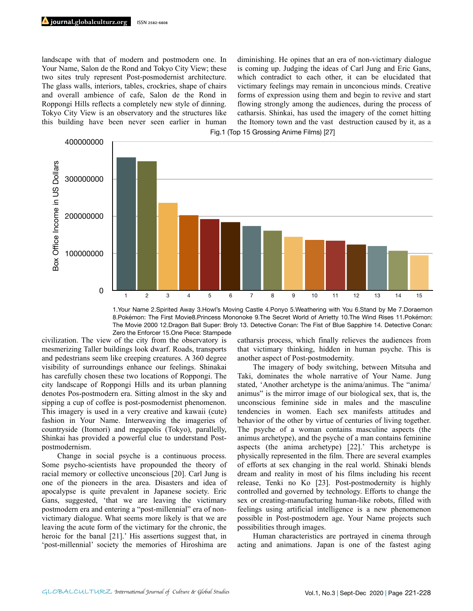landscape with that of modern and postmodern one. In Your Name, Salon de the Rond and Tokyo City View; these two sites truly represent Post-posmodernist architecture. The glass walls, interiors, tables, crockries, shape of chairs and overall ambience of cafe, Salon de the Rond in Roppongi Hills reflects a completely new style of dinning. Tokyo City View is an observatory and the structures like this building have been never seen earlier in human

diminishing. He opines that an era of non-victimary dialogue is coming up. Judging the ideas of Carl Jung and Eric Gans, which contradict to each other, it can be elucidated that victimary feelings may remain in unconcious minds. Creative forms of expression using them and begin to revive and start flowing strongly among the audiences, during the process of catharsis. Shinkai, has used the imagery of the comet hitting the Itomory town and the vast destruction caused by it, as a Fig.1 (Top 15 Grossing Anime Films) [27]



1.Your Name 2.Spirited Away 3.Howl's Moving Castle 4.Ponyo 5.Weathering with You 6.Stand by Me 7.Doraemon 8.Pokémon: The First Movie8.Princess Mononoke 9.The Secret World of Arrietty 10.The Wind Rises 11.Pokémon: The Movie 2000 12.Dragon Ball Super: Broly 13. Detective Conan: The Fist of Blue Sapphire 14. Detective Conan: Zero the Enforcer 15.One Piece: Stampede

civilization. The view of the city from the observatory is mesmerizing Taller buildings look dwarf. Roads, transports and pedestrians seem like creeping creatures. A 360 degree visibility of surroundings enhance our feelings. Shinakai has carefully chosen these two locations of Roppongi. The city landscape of Roppongi Hills and its urban planning denotes Pos-postmodern era. Sitting almost in the sky and sipping a cup of coffee is post-posmodernist phenomenon. This imagery is used in a very creative and kawaii (cute) fashion in Your Name. Interweaving the imageries of countryside (Itomori) and megapolis (Tokyo), parallelly, Shinkai has provided a powerful clue to understand Postpostmodernism.

 Change in social psyche is a continuous process. Some psycho-scientists have propounded the theory of racial memory or collective unconscious [20]. Carl Jung is one of the pioneers in the area. Disasters and idea of apocalypse is quite prevalent in Japanese society. Eric Gans, suggested, 'that we are leaving the victimary postmodern era and entering a "post-millennial" era of nonvictimary dialogue. What seems more likely is that we are leaving the acute form of the victimary for the chronic, the heroic for the banal [21].' His assertions suggest that, in 'post-millennial' society the memories of Hiroshima are catharsis process, which finally relieves the audiences from that victimary thinking, hidden in human psyche. This is another aspect of Post-postmodernity.

 The imagery of body switching, between Mitsuha and Taki, dominates the whole narrative of Your Name. Jung stated, 'Another archetype is the anima/animus. The "anima/ animus" is the mirror image of our biological sex, that is, the unconscious feminine side in males and the masculine tendencies in women. Each sex manifests attitudes and behavior of the other by virtue of centuries of living together. The psyche of a woman contains masculine aspects (the animus archetype), and the psyche of a man contains feminine aspects (the anima archetype) [22].' This archetype is physically represented in the film. There are several examples of efforts at sex changing in the real world. Shinaki blends dream and reality in most of his films including his recent release, Tenki no Ko [23]. Post-postmodernity is highly controlled and governed by technology. Efforts to change the sex or creating-manufacturing human-like robots, filled with feelings using artificial intelligence is a new phenomenon possible in Post-postmodern age. Your Name projects such possibilities through images.

 Human characteristics are portrayed in cinema through acting and animations. Japan is one of the fastest aging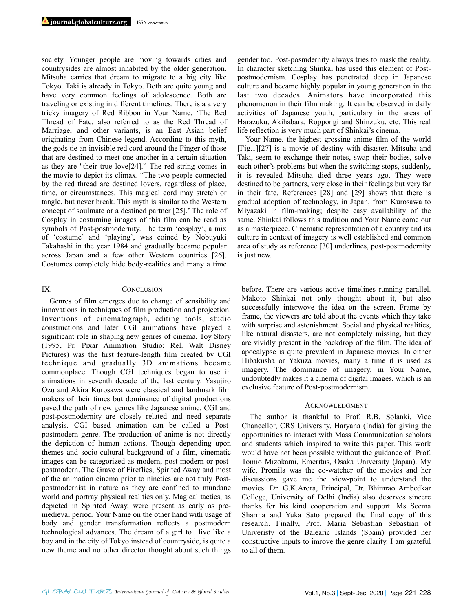society. Younger people are moving towards cities and countrysides are almost inhabited by the older generation. Mitsuha carries that dream to migrate to a big city like Tokyo. Taki is already in Tokyo. Both are quite young and have very common feelings of adolescence. Both are traveling or existing in different timelines. There is a a very tricky imagery of Red Ribbon in Your Name. 'The Red Thread of Fate, also referred to as the Red Thread of Marriage, and other variants, is an East Asian belief originating from Chinese legend. According to this myth, the gods tie an invisible red cord around the Finger of those that are destined to meet one another in a certain situation as they are "their true love[24]." The red string comes in the movie to depict its climax. "The two people connected by the red thread are destined lovers, regardless of place, time, or circumstances. This magical cord may stretch or tangle, but never break. This myth is similar to the Western concept of soulmate or a destined partner [25].' The role of Cosplay in costuming images of this film can be read as symbols of Post-postmodernity. The term 'cosplay', a mix of 'costume' and 'playing', was coined by Nobuyuki Takahashi in the year 1984 and gradually became popular across Japan and a few other Western countries [26]. Costumes completely hide body-realities and many a time

#### IX. CONCLUSION

Genres of film emerges due to change of sensibility and innovations in techniques of film production and projection. Inventions of cinematograph, editing tools, studio constructions and later CGI animations have played a significant role in shaping new genres of cinema. Toy Story (1995, Pr. Pixar Animation Studio; Rel. Walt Disney Pictures) was the first feature-length film created by CGI technique and gradually 3D animations became commonplace. Though CGI techniques began to use in animations in seventh decade of the last century. Yasujiro Ozu and Akira Kurosawa were classical and landmark film makers of their times but dominance of digital productions paved the path of new genres like Japanese anime. CGI and post-postmodernity are closely related and need separate analysis. CGI based animation can be called a Postpostmodern genre. The production of anime is not directly the depiction of human actions. Though depending upon themes and socio-cultural background of a film, cinematic images can be categorized as modern, post-modern or postpostmodern. The Grave of Fireflies, Spirited Away and most of the animation cinema prior to nineties are not truly Postpostmodernist in nature as they are confined to mundane world and portray physical realities only. Magical tactics, as depicted in Spirited Away, were present as early as premedieval period. Your Name on the other hand with usage of body and gender transformation reflects a postmodern technological advances. The dream of a girl to live like a boy and in the city of Tokyo instead of countryside, is quite a new theme and no other director thought about such things

gender too. Post-posmdernity always tries to mask the reality. In character sketching Shinkai has used this element of Postpostmodernism. Cosplay has penetrated deep in Japanese culture and became highly popular in young generation in the last two decades. Animators have incorporated this phenomenon in their film making. It can be observed in daily activities of Japanese youth, particulary in the areas of Harazuku, Akihabara, Roppongi and Shinzuku, etc. This real life reflection is very much part of Shinkai's cinema.

Your Name, the highest grossing anime film of the world [Fig.1][27] is a movie of destiny with disaster. Mitsuha and Taki, seem to exchange their notes, swap their bodies, solve each other's problems but when the switching stops, suddenly, it is revealed Mitsuha died three years ago. They were destined to be partners, very close in their feelings but very far in their fate. References [28] and [29] shows that there is gradual adoption of technology, in Japan, from Kurosawa to Miyazaki in film-making; despite easy availability of the same. Shinkai follows this tradition and Your Name came out as a masterpiece. Cinematic representation of a country and its culture in context of imagery is well established and common area of study as reference [30] underlines, post-postmodernity is just new.

before. There are various active timelines running parallel. Makoto Shinkai not only thought about it, but also successfully interwove the idea on the screen. Frame by frame, the viewers are told about the events which they take with surprise and astonishment. Social and physical realities, like natural disasters, are not completely missing, but they are vividly present in the backdrop of the film. The idea of apocalypse is quite prevalent in Japanese movies. In either Hibakusha or Yakuza movies, many a time it is used as imagery. The dominance of imagery, in Your Name, undoubtedly makes it a cinema of digital images, which is an exclusive feature of Post-postmodernism.

### ACKNOWLEDGMENT

The author is thankful to Prof. R.B. Solanki, Vice Chancellor, CRS University, Haryana (India) for giving the opportunities to interact with Mass Communication scholars and students which inspired to write this paper. This work would have not been possible without the guidance of Prof. Tomio Mizokami, Emeritus, Osaka University (Japan). My wife, Promila was the co-watcher of the movies and her discussions gave me the view-point to understand the movies. Dr. G.K.Arora, Principal, Dr. Bhimrao Ambedkar College, University of Delhi (India) also deserves sincere thanks for his kind cooperation and support. Ms Seema Sharma and Yuka Sato prepared the final copy of this research. Finally, Prof. Maria Sebastian Sebastian of Univeristy of the Balearic Islands (Spain) provided her constructive inputs to imrove the genre clarity. I am grateful to all of them.